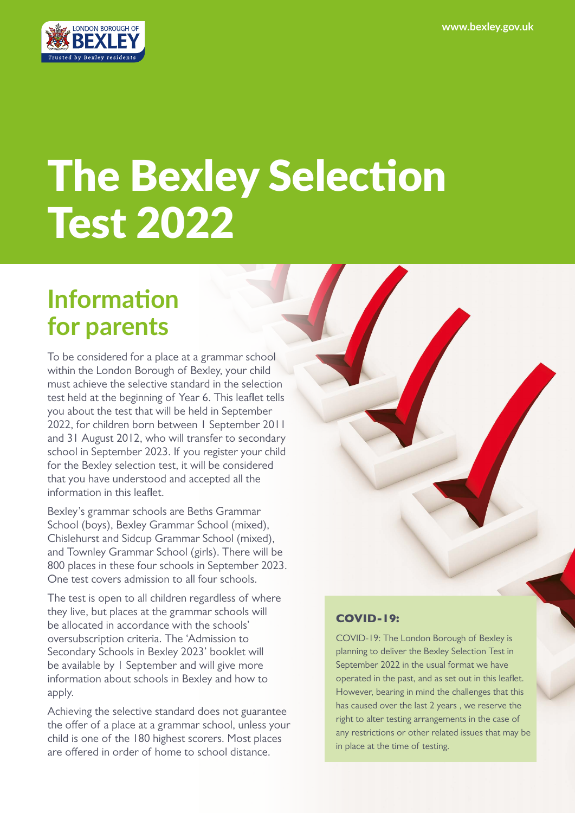

# The Bexley Selection Test 2022

# **Information for parents**

To be considered for a place at a grammar school within the London Borough of Bexley, your child must achieve the selective standard in the selection test held at the beginning of Year 6. This leaflet tells you about the test that will be held in September 2022, for children born between 1 September 2011 and 31 August 2012, who will transfer to secondary school in September 2023. If you register your child for the Bexley selection test, it will be considered that you have understood and accepted all the information in this leaflet.

Bexley's grammar schools are Beths Grammar School (boys), Bexley Grammar School (mixed), Chislehurst and Sidcup Grammar School (mixed), and Townley Grammar School (girls). There will be 800 places in these four schools in September 2023. One test covers admission to all four schools.

The test is open to all children regardless of where they live, but places at the grammar schools will be allocated in accordance with the schools' oversubscription criteria. The 'Admission to Secondary Schools in Bexley 2023' booklet will be available by 1 September and will give more information about schools in Bexley and how to apply.

Achieving the selective standard does not guarantee the offer of a place at a grammar school, unless your child is one of the 180 highest scorers. Most places are offered in order of home to school distance.

#### COVID-19:

COVID-19: The London Borough of Bexley is planning to deliver the Bexley Selection Test in September 2022 in the usual format we have operated in the past, and as set out in this leaflet. However, bearing in mind the challenges that this has caused over the last 2 years , we reserve the right to alter testing arrangements in the case of any restrictions or other related issues that may be in place at the time of testing.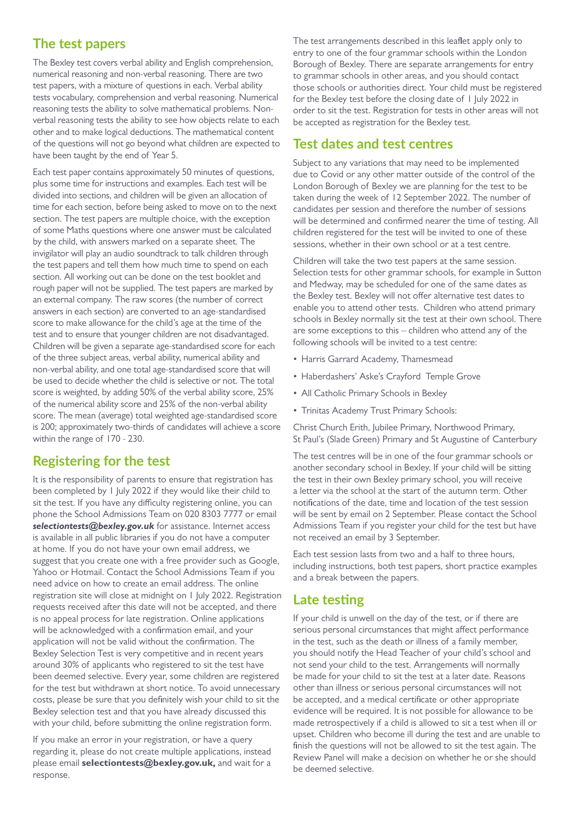#### **The test papers**

The Bexley test covers verbal ability and English comprehension, numerical reasoning and non-verbal reasoning. There are two test papers, with a mixture of questions in each. Verbal ability tests vocabulary, comprehension and verbal reasoning. Numerical reasoning tests the ability to solve mathematical problems. Nonverbal reasoning tests the ability to see how objects relate to each other and to make logical deductions. The mathematical content of the questions will not go beyond what children are expected to have been taught by the end of Year 5.

Each test paper contains approximately 50 minutes of questions, plus some time for instructions and examples. Each test will be divided into sections, and children will be given an allocation of time for each section, before being asked to move on to the next section. The test papers are multiple choice, with the exception of some Maths questions where one answer must be calculated by the child, with answers marked on a separate sheet. The invigilator will play an audio soundtrack to talk children through the test papers and tell them how much time to spend on each section. All working out can be done on the test booklet and rough paper will not be supplied. The test papers are marked by an external company. The raw scores (the number of correct answers in each section) are converted to an age-standardised score to make allowance for the child's age at the time of the test and to ensure that younger children are not disadvantaged. Children will be given a separate age-standardised score for each of the three subject areas, verbal ability, numerical ability and non-verbal ability, and one total age-standardised score that will be used to decide whether the child is selective or not. The total score is weighted, by adding 50% of the verbal ability score, 25% of the numerical ability score and 25% of the non-verbal ability score. The mean (average) total weighted age-standardised score is 200; approximately two-thirds of candidates will achieve a score within the range of 170 - 230.

### **Registering for the test**

It is the responsibility of parents to ensure that registration has been completed by 1 July 2022 if they would like their child to sit the test. If you have any difficulty registering online, you can phone the School Admissions Team on 020 8303 7777 or email *selectiontests@bexley.gov.uk* for assistance. Internet access is available in all public libraries if you do not have a computer at home. If you do not have your own email address, we suggest that you create one with a free provider such as Google, Yahoo or Hotmail. Contact the School Admissions Team if you need advice on how to create an email address. The online registration site will close at midnight on 1 July 2022. Registration requests received after this date will not be accepted, and there is no appeal process for late registration. Online applications will be acknowledged with a confirmation email, and your application will not be valid without the confirmation. The Bexley Selection Test is very competitive and in recent years around 30% of applicants who registered to sit the test have been deemed selective. Every year, some children are registered for the test but withdrawn at short notice. To avoid unnecessary costs, please be sure that you definitely wish your child to sit the Bexley selection test and that you have already discussed this with your child, before submitting the online registration form.

If you make an error in your registration, or have a query regarding it, please do not create multiple applications, instead please email **[selectiontests@bexley.gov.uk,](mailto:selectiontests%40bexley.gov.uk?subject=)** and wait for a response.

The test arrangements described in this leaflet apply only to entry to one of the four grammar schools within the London Borough of Bexley. There are separate arrangements for entry to grammar schools in other areas, and you should contact those schools or authorities direct. Your child must be registered for the Bexley test before the closing date of 1 July 2022 in order to sit the test. Registration for tests in other areas will not be accepted as registration for the Bexley test.

#### **Test dates and test centres**

Subject to any variations that may need to be implemented due to Covid or any other matter outside of the control of the London Borough of Bexley we are planning for the test to be taken during the week of 12 September 2022. The number of candidates per session and therefore the number of sessions will be determined and confirmed nearer the time of testing. All children registered for the test will be invited to one of these sessions, whether in their own school or at a test centre.

Children will take the two test papers at the same session. Selection tests for other grammar schools, for example in Sutton and Medway, may be scheduled for one of the same dates as the Bexley test. Bexley will not offer alternative test dates to enable you to attend other tests. Children who attend primary schools in Bexley normally sit the test at their own school. There are some exceptions to this – children who attend any of the following schools will be invited to a test centre:

- Harris Garrard Academy, Thamesmead
- Haberdashers' Aske's Crayford Temple Grove
- All Catholic Primary Schools in Bexley
- Trinitas Academy Trust Primary Schools:

Christ Church Erith, Jubilee Primary, Northwood Primary, St Paul's (Slade Green) Primary and St Augustine of Canterbury

The test centres will be in one of the four grammar schools or another secondary school in Bexley. If your child will be sitting the test in their own Bexley primary school, you will receive a letter via the school at the start of the autumn term. Other notifications of the date, time and location of the test session will be sent by email on 2 September. Please contact the School Admissions Team if you register your child for the test but have not received an email by 3 September.

Each test session lasts from two and a half to three hours, including instructions, both test papers, short practice examples and a break between the papers.

#### **Late testing**

If your child is unwell on the day of the test, or if there are serious personal circumstances that might affect performance in the test, such as the death or illness of a family member, you should notify the Head Teacher of your child's school and not send your child to the test. Arrangements will normally be made for your child to sit the test at a later date. Reasons other than illness or serious personal circumstances will not be accepted, and a medical certificate or other appropriate evidence will be required. It is not possible for allowance to be made retrospectively if a child is allowed to sit a test when ill or upset. Children who become ill during the test and are unable to finish the questions will not be allowed to sit the test again. The Review Panel will make a decision on whether he or she should be deemed selective.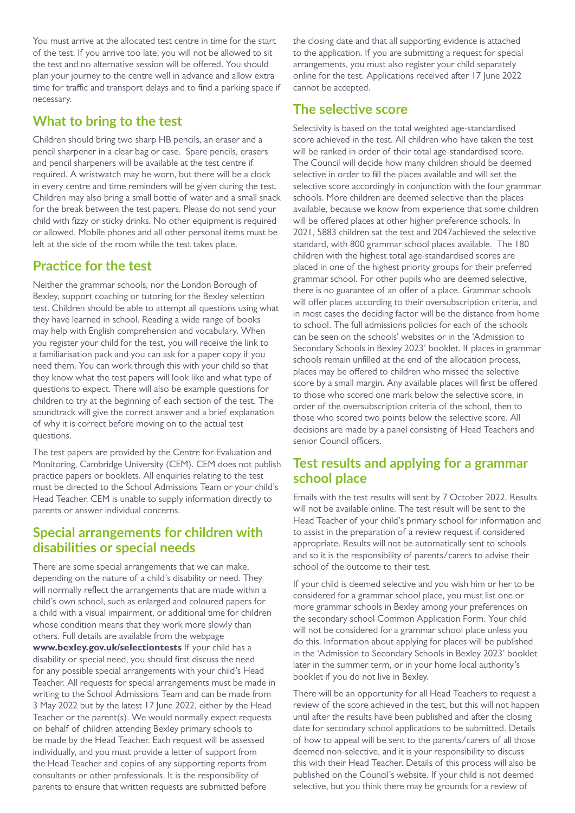You must arrive at the allocated test centre in time for the start of the test. If you arrive too late, you will not be allowed to sit the test and no alternative session will be offered. You should plan your journey to the centre well in advance and allow extra time for traffic and transport delays and to find a parking space if necessary.

#### **What to bring to the test**

Children should bring two sharp HB pencils, an eraser and a pencil sharpener in a clear bag or case. Spare pencils, erasers and pencil sharpeners will be available at the test centre if required. A wristwatch may be worn, but there will be a clock in every centre and time reminders will be given during the test. Children may also bring a small bottle of water and a small snack for the break between the test papers. Please do not send your child with fizzy or sticky drinks. No other equipment is required or allowed. Mobile phones and all other personal items must be left at the side of the room while the test takes place.

#### **Practice for the test**

Neither the grammar schools, nor the London Borough of Bexley, support coaching or tutoring for the Bexley selection test. Children should be able to attempt all questions using what they have learned in school. Reading a wide range of books may help with English comprehension and vocabulary. When you register your child for the test, you will receive the link to a familiarisation pack and you can ask for a paper copy if you need them. You can work through this with your child so that they know what the test papers will look like and what type of questions to expect. There will also be example questions for children to try at the beginning of each section of the test. The soundtrack will give the correct answer and a brief explanation of why it is correct before moving on to the actual test questions.

The test papers are provided by the Centre for Evaluation and Monitoring, Cambridge University (CEM). CEM does not publish practice papers or booklets. All enquiries relating to the test must be directed to the School Admissions Team or your child's Head Teacher. CEM is unable to supply information directly to parents or answer individual concerns.

#### **Special arrangements for children with disabilities or special needs**

There are some special arrangements that we can make, depending on the nature of a child's disability or need. They will normally reflect the arrangements that are made within a child's own school, such as enlarged and coloured papers for a child with a visual impairment, or additional time for children whose condition means that they work more slowly than others. Full details are available from the webpage **[www.bexley.gov.uk/selectiontests](https://www.bexley.gov.uk/selectiontests)** If your child has a disability or special need, you should first discuss the need for any possible special arrangements with your child's Head Teacher. All requests for special arrangements must be made in writing to the School Admissions Team and can be made from 3 May 2022 but by the latest 17 June 2022, either by the Head Teacher or the parent(s). We would normally expect requests on behalf of children attending Bexley primary schools to be made by the Head Teacher. Each request will be assessed individually, and you must provide a letter of support from the Head Teacher and copies of any supporting reports from consultants or other professionals. It is the responsibility of parents to ensure that written requests are submitted before

the closing date and that all supporting evidence is attached to the application. If you are submitting a request for special arrangements, you must also register your child separately online for the test. Applications received after 17 June 2022 cannot be accepted.

#### **The selective score**

Selectivity is based on the total weighted age-standardised score achieved in the test. All children who have taken the test will be ranked in order of their total age-standardised score. The Council will decide how many children should be deemed selective in order to fill the places available and will set the selective score accordingly in conjunction with the four grammar schools. More children are deemed selective than the places available, because we know from experience that some children will be offered places at other higher preference schools. In 2021, 5883 children sat the test and 2047achieved the selective standard, with 800 grammar school places available. The 180 children with the highest total age-standardised scores are placed in one of the highest priority groups for their preferred grammar school. For other pupils who are deemed selective, there is no guarantee of an offer of a place. Grammar schools will offer places according to their oversubscription criteria, and in most cases the deciding factor will be the distance from home to school. The full admissions policies for each of the schools can be seen on the schools' websites or in the 'Admission to Secondary Schools in Bexley 2023' booklet. If places in grammar schools remain unfilled at the end of the allocation process, places may be offered to children who missed the selective score by a small margin. Any available places will first be offered to those who scored one mark below the selective score, in order of the oversubscription criteria of the school, then to those who scored two points below the selective score. All decisions are made by a panel consisting of Head Teachers and senior Council officers.

#### **Test results and applying for a grammar school place**

Emails with the test results will sent by 7 October 2022. Results will not be available online. The test result will be sent to the Head Teacher of your child's primary school for information and to assist in the preparation of a review request if considered appropriate. Results will not be automatically sent to schools and so it is the responsibility of parents/carers to advise their school of the outcome to their test.

If your child is deemed selective and you wish him or her to be considered for a grammar school place, you must list one or more grammar schools in Bexley among your preferences on the secondary school Common Application Form. Your child will not be considered for a grammar school place unless you do this. Information about applying for places will be published in the 'Admission to Secondary Schools in Bexley 2023' booklet later in the summer term, or in your home local authority's booklet if you do not live in Bexley.

There will be an opportunity for all Head Teachers to request a review of the score achieved in the test, but this will not happen until after the results have been published and after the closing date for secondary school applications to be submitted. Details of how to appeal will be sent to the parents/carers of all those deemed non-selective, and it is your responsibility to discuss this with their Head Teacher. Details of this process will also be published on the Council's website. If your child is not deemed selective, but you think there may be grounds for a review of